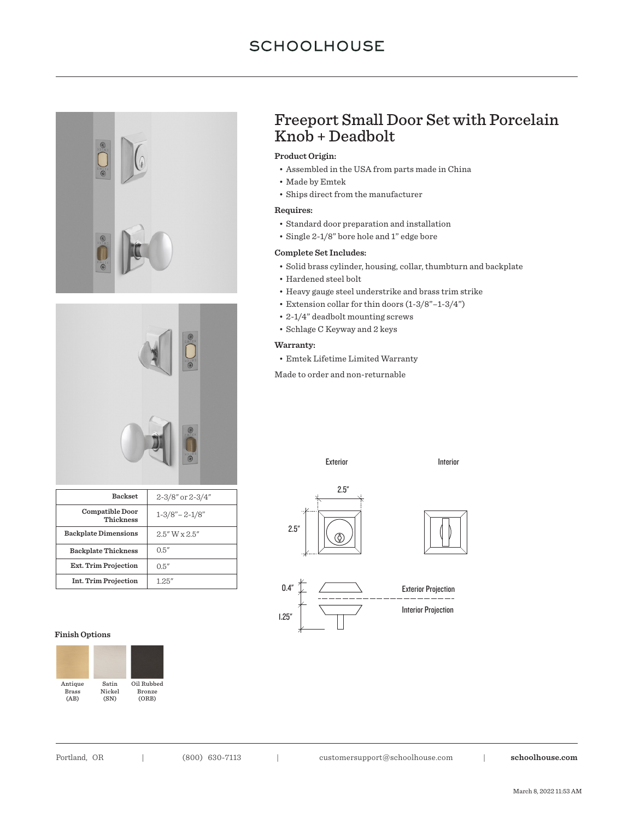# **SCHOOLHOUSE**





| <b>Backset</b>                      | 2-3/8" or 2-3/4"    |
|-------------------------------------|---------------------|
| <b>Compatible Door</b><br>Thickness | $1 - 3/8 - 2 - 1/8$ |
| <b>Backplate Dimensions</b>         | $2.5''$ W x $2.5''$ |
| <b>Backplate Thickness</b>          | 0.5''               |
| <b>Ext. Trim Projection</b>         | 0.5''               |
| <b>Int. Trim Projection</b>         | 125''               |

#### **Finish Options**



# Freeport Small Door Set with Porcelain Knob + Deadbolt

## **Product Origin:**

- Assembled in the USA from parts made in China
- Made by Emtek
- Ships direct from the manufacturer

## **Requires:**

- Standard door preparation and installation
- Single 2-1/8" bore hole and 1" edge bore

### **Complete Set Includes:**

- Solid brass cylinder, housing, collar, thumbturn and backplate
- Hardened steel bolt
- Heavy gauge steel understrike and brass trim strike
- Extension collar for thin doors (1-3/8"–1-3/4")
- 2-1/4" deadbolt mounting screws
- Schlage C Keyway and 2 keys

#### **Warranty:**

• Emtek Lifetime Limited Warranty

Made to order and non-returnable

Exterior **Interior** 





Portland, OR | (800) 630-7113 | customersupport@schoolhouse.com | **schoolhouse.com**